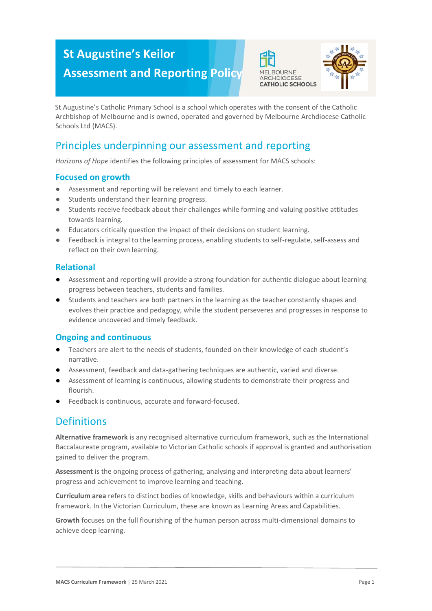# **St Augustine's Keilor**

**Assessment and Reporting Policy**





St Augustine's Catholic Primary School is a school which operates with the consent of the Catholic Archbishop of Melbourne and is owned, operated and governed by Melbourne Archdiocese Catholic Schools Ltd (MACS).

# Principles underpinning our assessment and reporting

*Horizons of Hope* identifies the following principles of assessment for MACS schools:

#### **Focused on growth**

- Assessment and reporting will be relevant and timely to each learner.
- Students understand their learning progress.
- Students receive feedback about their challenges while forming and valuing positive attitudes towards learning.
- Educators critically question the impact of their decisions on student learning.
- Feedback is integral to the learning process, enabling students to self-regulate, self-assess and reflect on their own learning.

#### **Relational**

- Assessment and reporting will provide a strong foundation for authentic dialogue about learning progress between teachers, students and families.
- Students and teachers are both partners in the learning as the teacher constantly shapes and evolves their practice and pedagogy, while the student perseveres and progresses in response to evidence uncovered and timely feedback.

#### **Ongoing and continuous**

- Teachers are alert to the needs of students, founded on their knowledge of each student's narrative.
- Assessment, feedback and data-gathering techniques are authentic, varied and diverse.
- Assessment of learning is continuous, allowing students to demonstrate their progress and flourish.
- Feedback is continuous, accurate and forward-focused.

## **Definitions**

**Alternative framework** is any recognised alternative curriculum framework, such as the International Baccalaureate program, available to Victorian Catholic schools if approval is granted and authorisation gained to deliver the program.

**Assessment** is the ongoing process of gathering, analysing and interpreting data about learners' progress and achievement to improve learning and teaching.

**Curriculum area** refers to distinct bodies of knowledge, skills and behaviours within a curriculum framework. In the Victorian Curriculum, these are known as Learning Areas and Capabilities.

**Growth** focuses on the full flourishing of the human person across multi-dimensional domains to achieve deep learning.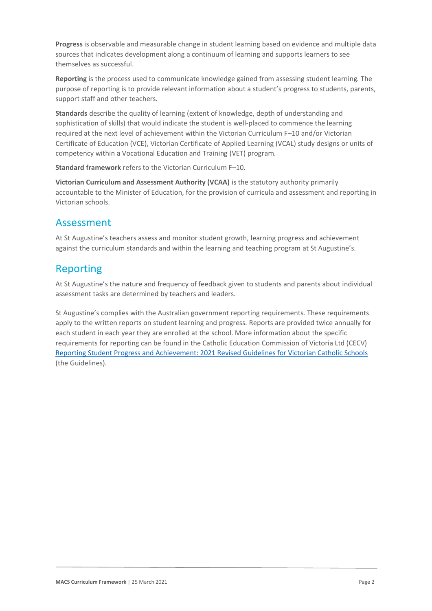**Progress** is observable and measurable change in student learning based on evidence and multiple data sources that indicates development along a continuum of learning and supports learners to see themselves as successful.

**Reporting** is the process used to communicate knowledge gained from assessing student learning. The purpose of reporting is to provide relevant information about a student's progress to students, parents, support staff and other teachers.

**Standards** describe the quality of learning (extent of knowledge, depth of understanding and sophistication of skills) that would indicate the student is well-placed to commence the learning required at the next level of achievement within the Victorian Curriculum F–10 and/or Victorian Certificate of Education (VCE), Victorian Certificate of Applied Learning (VCAL) study designs or units of competency within a Vocational Education and Training (VET) program.

**Standard framework** refers to the Victorian Curriculum F–10.

**Victorian Curriculum and Assessment Authority (VCAA)** is the statutory authority primarily accountable to the Minister of Education, for the provision of curricula and assessment and reporting in Victorian schools.

## Assessment

At St Augustine's teachers assess and monitor student growth, learning progress and achievement against the curriculum standards and within the learning and teaching program at St Augustine's.

# Reporting

At St Augustine's the nature and frequency of feedback given to students and parents about individual assessment tasks are determined by teachers and leaders.

St Augustine's complies with the Australian government reporting requirements. These requirements apply to the written reports on student learning and progress. Reports are provided twice annually for each student in each year they are enrolled at the school. More information about the specific requirements for reporting can be found in the Catholic Education Commission of Victoria Ltd (CECV) [Reporting Student Progress and Achievement: 2021 Revised Guidelines for Victorian Catholic Schools](https://cevn.cecv.catholic.edu.au/MelbourneDiocese/Document-File/Curriculum/Reporting/CECV-2019-Revised-Student-Reporting-Guidelines.aspx) (the Guidelines).